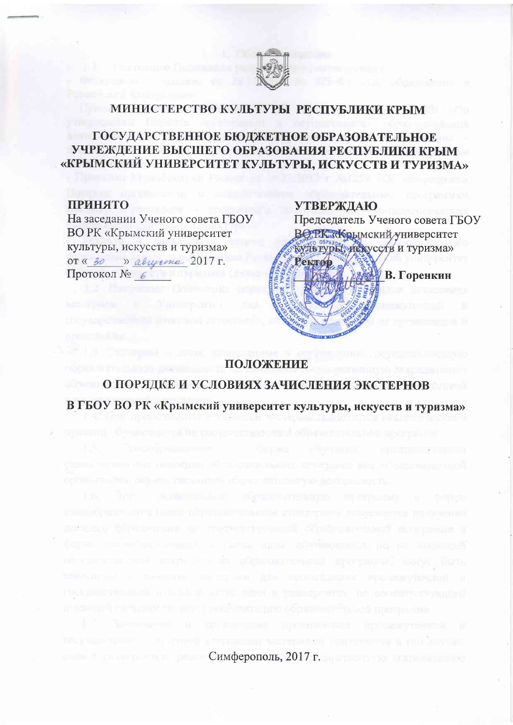

#### МИНИСТЕРСТВО КУЛЬТУРЫ РЕСПУБЛИКИ КРЫМ

# ГОСУДАРСТВЕННОЕ БЮДЖЕТНОЕ ОБРАЗОВАТЕЛЬНОЕ УЧРЕЖДЕНИЕ ВЫСШЕГО ОБРАЗОВАНИЯ РЕСПУБЛИКИ КРЫМ «КРЫМСКИЙ УНИВЕРСИТЕТ КУЛЬТУРЫ, ИСКУССТВ И ТУРИЗМА»

#### **ПРИНЯТО**

На заседании Ученого совета ГБОУ **ВО РК «Крымский университет** культуры, искусств и туризма» OT «  $30$  » abuyema  $2017$   $\text{r}$ . Протокол № 6

## **УТВЕРЖДАЮ**



# ПОЛОЖЕНИЕ

О ПОРЯДКЕ И УСЛОВИЯХ ЗАЧИСЛЕНИЯ ЭКСТЕРНОВ В ГБОУ ВО РК «Крымский университет культуры, искусств и туризма»

у высокаженных обосновательной поставива

 $Cum\phi$ ерополь, 2017 г.

**Commun September Personal**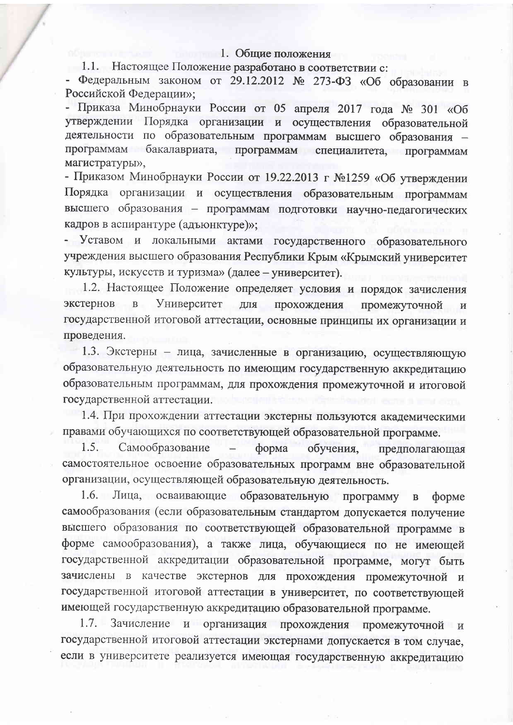#### 1. Общие положения

1.1. Настоящее Положение разработано в соответствии с:

- Федеральным законом от 29.12.2012 № 273-ФЗ «Об образовании в Российской Федерации»:

- Приказа Минобрнауки России от 05 апреля 2017 года № 301 «Об утверждении Порядка организации и осуществления образовательной деятельности по образовательным программам высшего образования программам бакалавриата. программам специалитета, программам магистратуры»,

- Приказом Минобрнауки России от 19.22.2013 г №1259 «Об утверждении Порядка организации и осуществления образовательным программам высшего образования - программам подготовки научно-педагогических кадров в аспирантуре (адъюнктуре)»;

- Уставом и локальными актами государственного образовательного учреждения высшего образования Республики Крым «Крымский университет культуры, искусств и туризма» (далее - университет).

1.2. Настоящее Положение определяет условия и порядок зачисления экстернов  $\mathbf{B}$ Университет для прохождения промежуточной  $\overline{M}$ государственной итоговой аттестации, основные принципы их организации и проведения.

1.3. Экстерны - лица, зачисленные в организацию, осуществляющую образовательную деятельность по имеющим государственную аккредитацию образовательным программам, для прохождения промежуточной и итоговой государственной аттестации.

1.4. При прохождении аттестации экстерны пользуются академическими правами обучающихся по соответствующей образовательной программе.

1.5. Самообразование форма обучения, предполагающая самостоятельное освоение образовательных программ вне образовательной организации, осуществляющей образовательную деятельность.

1.6. Лица, осваивающие образовательную программу в форме самообразования (если образовательным стандартом допускается получение высшего образования по соответствующей образовательной программе в форме самообразования), а также лица, обучающиеся по не имеющей государственной аккредитации образовательной программе, могут быть зачислены в качестве экстернов для прохождения промежуточной и государственной итоговой аттестации в университет, по соответствующей имеющей государственную аккредитацию образовательной программе.

1.7. Зачисление и организация прохождения промежуточной и государственной итоговой аттестации экстернами допускается в том случае, если в университете реализуется имеющая государственную аккредитацию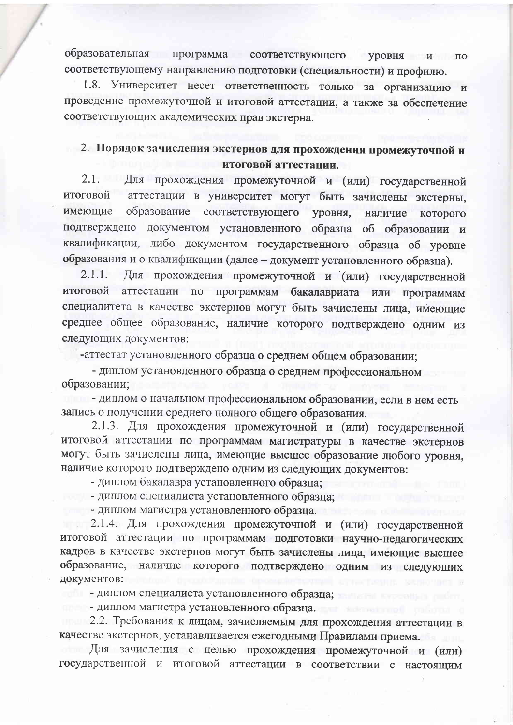образовательная программа соответствующего уровня и по соответствующему направлению подготовки (специальности) и профилю.

1.8. Университет несет ответственность только за организацию и проведение промежуточной и итоговой аттестации, а также за обеспечение соответствующих академических прав экстерна.

# 2. Порядок зачисления экстернов для прохождения промежуточной и итоговой аттестации.

2.1. Для прохождения промежуточной и (или) государственной аттестации в университет могут быть зачислены экстерны, итоговой имеющие образование соответствующего уровня, наличие которого подтверждено документом установленного образца об образовании и квалификации, либо документом государственного образца об уровне образования и о квалификации (далее - документ установленного образца).

Для прохождения промежуточной и (или) государственной  $2.1.1.$ итоговой аттестации  $\overline{a}$ программам бакалавриата или программам специалитета в качестве экстернов могут быть зачислены лица, имеющие среднее общее образование, наличие которого подтверждено одним из следующих документов:

-аттестат установленного образца о среднем общем образовании;

- диплом установленного образца о среднем профессиональном образовании;

- диплом о начальном профессиональном образовании, если в нем есть запись о получении среднего полного общего образования.

2.1.3. Для прохождения промежуточной и (или) государственной итоговой аттестации по программам магистратуры в качестве экстернов могут быть зачислены лица, имеющие высшее образование любого уровня, наличие которого подтверждено одним из следующих документов:

- диплом бакалавра установленного образца;

- диплом специалиста установленного образца;

- диплом магистра установленного образца.

2.1.4. Для прохождения промежуточной и (или) государственной итоговой аттестации по программам подготовки научно-педагогических кадров в качестве экстернов могут быть зачислены лица, имеющие высшее образование, наличие которого подтверждено одним из следующих документов:

- диплом специалиста установленного образца;

- диплом магистра установленного образца.

2.2. Требования к лицам, зачисляемым для прохождения аттестации в качестве экстернов, устанавливается ежегодными Правилами приема.

Для зачисления с целью прохождения промежуточной и (или) государственной и итоговой аттестации в соответствии с настоящим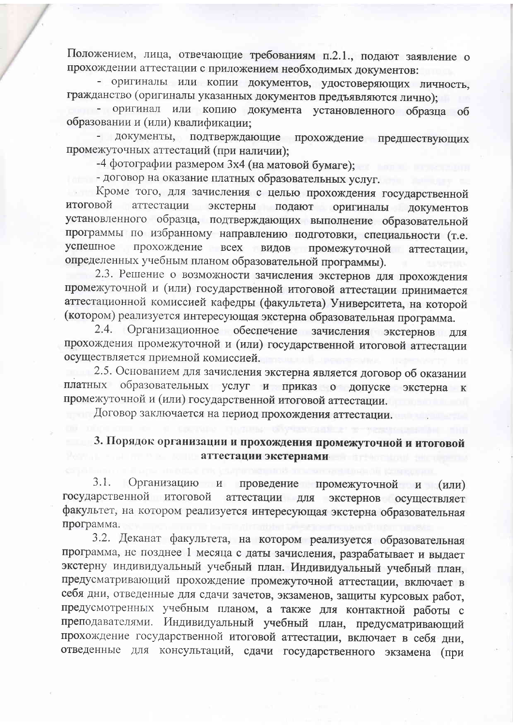Положением, лица, отвечающие требованиям п.2.1., подают заявление о прохождении аттестации с приложением необходимых документов:

- оригиналы или копии документов, удостоверяющих личность, гражданство (оригиналы указанных документов предъявляются лично);

- оригинал или копию документа установленного образца об образовании и (или) квалификации:

документы, подтверждающие прохождение предшествующих промежуточных аттестаций (при наличии):

-4 фотографии размером 3х4 (на матовой бумаге);

- договор на оказание платных образовательных услуг.

Кроме того, для зачисления с целью прохождения государственной аттестации экстерны подают оригиналы итоговой документов установленного образца, подтверждающих выполнение образовательной программы по избранному направлению подготовки, специальности (т.е. успешное прохождение всех видов промежуточной аттестации, определенных учебным планом образовательной программы).

2.3. Решение о возможности зачисления экстернов для прохождения промежуточной и (или) государственной итоговой аттестации принимается аттестационной комиссией кафедры (факультета) Университета, на которой (котором) реализуется интересующая экстерна образовательная программа.

Организационное обеспечение зачисления экстернов для  $2.4.$ прохождения промежуточной и (или) государственной итоговой аттестации осуществляется приемной комиссией.

2.5. Основанием для зачисления экстерна является договор об оказании платных образовательных услуг и приказ о допуске экстерна к промежуточной и (или) государственной итоговой аттестации.

Договор заключается на период прохождения аттестации.

#### 3. Порядок организации и прохождения промежуточной и итоговой аттестации экстернами

 $3.1.$ Организацию и промежуточной и (или) проведение государственной итоговой аттестации для экстернов осуществляет факультет, на котором реализуется интересующая экстерна образовательная программа.

3.2. Деканат факультета, на котором реализуется образовательная программа, не позднее 1 месяца с даты зачисления, разрабатывает и выдает экстерну индивидуальный учебный план. Индивидуальный учебный план, предусматривающий прохождение промежуточной аттестации, включает в себя дни, отведенные для сдачи зачетов, экзаменов, защиты курсовых работ, предусмотренных учебным планом, а также для контактной работы с преподавателями. Индивидуальный учебный план, предусматривающий прохождение государственной итоговой аттестации, включает в себя дни, отведенные для консультаций, сдачи государственного экзамена (при